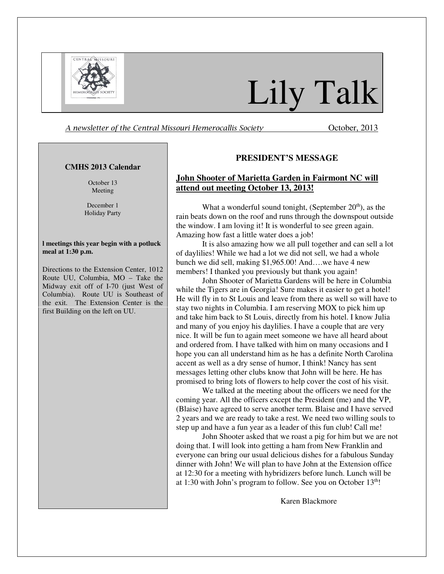

# Lily Talk

A newsletter of the Central Missouri Hemerocallis Society October, 2013

### **CMHS 2013 Calendar**

October 13 Meeting

December 1 Holiday Party

#### **l meetings this year begin with a potluck meal at 1:30 p.m.**

Directions to the Extension Center, 1012 Route UU, Columbia, MO – Take the Midway exit off of I-70 (just West of Columbia). Route UU is Southeast of the exit. The Extension Center is the first Building on the left on UU.

## **PRESIDENT'S MESSAGE**

## **John Shooter of Marietta Garden in Fairmont NC will attend out meeting October 13, 2013!**

What a wonderful sound tonight, (September  $20<sup>th</sup>$ ), as the rain beats down on the roof and runs through the downspout outside the window. I am loving it! It is wonderful to see green again. Amazing how fast a little water does a job!

It is also amazing how we all pull together and can sell a lot of daylilies! While we had a lot we did not sell, we had a whole bunch we did sell, making \$1,965.00! And….we have 4 new members! I thanked you previously but thank you again!

John Shooter of Marietta Gardens will be here in Columbia while the Tigers are in Georgia! Sure makes it easier to get a hotel! He will fly in to St Louis and leave from there as well so will have to stay two nights in Columbia. I am reserving MOX to pick him up and take him back to St Louis, directly from his hotel. I know Julia and many of you enjoy his daylilies. I have a couple that are very nice. It will be fun to again meet someone we have all heard about and ordered from. I have talked with him on many occasions and I hope you can all understand him as he has a definite North Carolina accent as well as a dry sense of humor, I think! Nancy has sent messages letting other clubs know that John will be here. He has promised to bring lots of flowers to help cover the cost of his visit.

We talked at the meeting about the officers we need for the coming year. All the officers except the President (me) and the VP, (Blaise) have agreed to serve another term. Blaise and I have served 2 years and we are ready to take a rest. We need two willing souls to step up and have a fun year as a leader of this fun club! Call me!

John Shooter asked that we roast a pig for him but we are not doing that. I will look into getting a ham from New Franklin and everyone can bring our usual delicious dishes for a fabulous Sunday dinner with John! We will plan to have John at the Extension office at 12:30 for a meeting with hybridizers before lunch. Lunch will be at 1:30 with John's program to follow. See you on October  $13<sup>th</sup>$ !

Karen Blackmore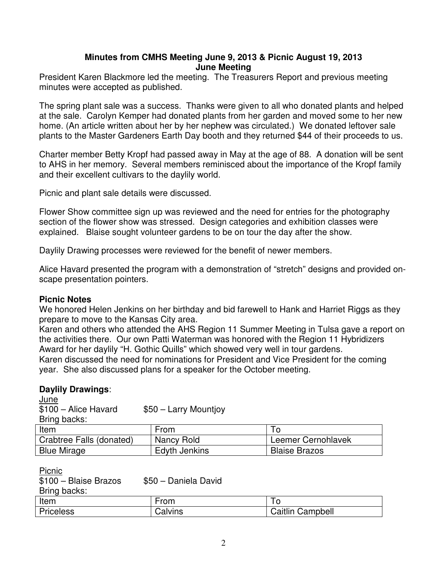# **Minutes from CMHS Meeting June 9, 2013 & Picnic August 19, 2013 June Meeting**

President Karen Blackmore led the meeting. The Treasurers Report and previous meeting minutes were accepted as published.

The spring plant sale was a success. Thanks were given to all who donated plants and helped at the sale. Carolyn Kemper had donated plants from her garden and moved some to her new home. (An article written about her by her nephew was circulated.) We donated leftover sale plants to the Master Gardeners Earth Day booth and they returned \$44 of their proceeds to us.

Charter member Betty Kropf had passed away in May at the age of 88. A donation will be sent to AHS in her memory. Several members reminisced about the importance of the Kropf family and their excellent cultivars to the daylily world.

Picnic and plant sale details were discussed.

Flower Show committee sign up was reviewed and the need for entries for the photography section of the flower show was stressed. Design categories and exhibition classes were explained. Blaise sought volunteer gardens to be on tour the day after the show.

Daylily Drawing processes were reviewed for the benefit of newer members.

Alice Havard presented the program with a demonstration of "stretch" designs and provided onscape presentation pointers.

## **Picnic Notes**

We honored Helen Jenkins on her birthday and bid farewell to Hank and Harriet Riggs as they prepare to move to the Kansas City area.

Karen and others who attended the AHS Region 11 Summer Meeting in Tulsa gave a report on the activities there. Our own Patti Waterman was honored with the Region 11 Hybridizers Award for her daylily "H. Gothic Quills" which showed very well in tour gardens.

Karen discussed the need for nominations for President and Vice President for the coming year. She also discussed plans for a speaker for the October meeting.

#### **Daylily Drawings**: June

| $rac{1}{2}$<br>$$100 - Alice$ Havard<br>Bring backs: | $$50 - Larry Mountjoy$ |                      |
|------------------------------------------------------|------------------------|----------------------|
| Item                                                 | From                   | To                   |
| Crabtree Falls (donated)                             | Nancy Rold             | Leemer Cernohlavek   |
| <b>Blue Mirage</b>                                   | Edyth Jenkins          | <b>Blaise Brazos</b> |

| Picnic                |                      |                         |
|-----------------------|----------------------|-------------------------|
| \$100 - Blaise Brazos | \$50 - Daniela David |                         |
| Bring backs:          |                      |                         |
| Item                  | From                 | ١o                      |
| <b>Priceless</b>      | Calvins              | <b>Caitlin Campbell</b> |